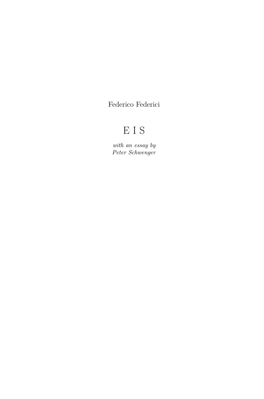Federico Federici

## EIS

*with an essay by Peter Schwenger*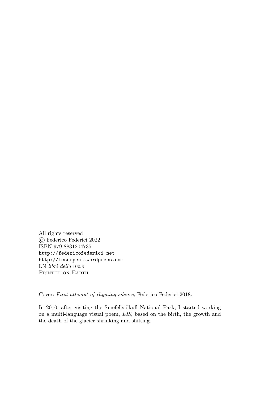All rights reserved © Federico Federici 2022 ISBN 979-8831204735 http://federicofederici.net http://leserpent.wordpress.com LN *libri della neve* PRINTED ON EARTH

Cover: *First attempt of rhyming silence*, Federico Federici 2018.

In 2010, after visiting the Snæfellsjökull National Park, I started working on a multi-language visual poem, *EIS*, based on the birth, the growth and the death of the glacier shrinking and shifting.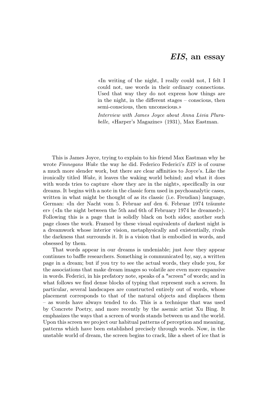## *EIS*, an essay

«In writing of the night, I really could not, I felt I could not, use words in their ordinary connections. Used that way they do not express how things are in the night, in the different stages – conscious, then semi-conscious, then unconscious.»

*Interview with James Joyce about Anna Livia Plurabelle*, «Harper's Magazine» (1931), Max Eastman.

This is James Joyce, trying to explain to his friend Max Eastman why he wrote *Finnegans Wake* the way he did. Federico Federici's *EIS* is of course a much more slender work, but there are clear affinities to Joyce's. Like the ironically titled *Wake*, it leaves the waking world behind; and what it does with words tries to capture «how they are in the night», specifically in our dreams. It begins with a note in the classic form used in psychoanalytic cases, written in what might be thought of as its classic (i.e. Freudian) language, German: «In der Nacht vom 5. Februar auf den 6. Februar 1974 träumte er» («In the night between the 5th and 6th of February 1974 he dreamed»). Following this is a page that is solidly black on both sides; another such page closes the work. Framed by these visual equivalents of darkest night is a dreamwork whose interior vision, metaphysically and existentially, rivals the darkness that surrounds it. It is a vision that is embodied in words, and obsessed by them.

That words appear in our dreams is undeniable; just *how* they appear continues to baffle researchers. Something is communicated by, say, a written page in a dream; but if you try to see the actual words, they elude you, for the associations that make dream images so volatile are even more expansive in words. Federici, in his prefatory note, speaks of a "screen" of words; and in what follows we find dense blocks of typing that represent such a screen. In particular, several landscapes are constructed entirely out of words, whose placement corresponds to that of the natural objects and displaces them – as words have always tended to do. This is a technique that was used by Concrete Poetry, and more recently by the asemic artist Xu Bing. It emphasizes the ways that a screen of words stands between us and the world. Upon this screen we project our habitual patterns of perception and meaning, patterns which have been established precisely through words. Now, in the unstable world of dream, the screen begins to crack, like a sheet of ice that is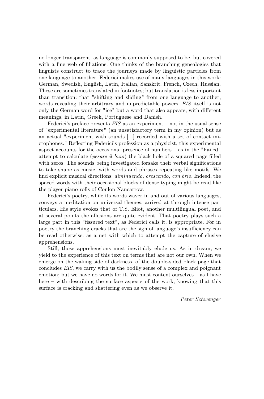no longer transparent, as language is commonly supposed to be, but covered with a fine web of filiations. One thinks of the branching genealogies that linguists construct to trace the journeys made by linguistic particles from one language to another. Federici makes use of many languages in this work: German, Swedish, English, Latin, Italian, Sanskrit, French, Czech, Russian. These are sometimes translated in footnotes; but translation is less important than transition: that "shifting and sliding" from one language to another, words revealing their arbitrary and unpredictable powers. *EIS* itself is not only the German word for "ice" but a word that also appears, with different meanings, in Latin, Greek, Portuguese and Danish.

Federici's preface presents *EIS* as an experiment – not in the usual sense of "experimental literature" (an unsatisfactory term in my opinion) but as an actual "experiment with sounds [...] recorded with a set of contact microphones." Reflecting Federici's profession as a physicist, this experimental aspect accounts for the occasional presence of numbers – as in the "Failed" attempt to calculate (*pesare il buio*) the black hole of a squared page filled with zeros. The sounds being investigated forsake their verbal significations to take shape as music, with words and phrases repeating like motifs. We find explicit musical directions: *diminuendo, crescendo, con brio*. Indeed, the spaced words with their occasional blocks of dense typing might be read like the player piano rolls of Conlon Nancarrow.

Federici's poetry, while its words waver in and out of various languages, conveys a meditation on universal themes, arrived at through intense particulars. His style evokes that of T.S. Eliot, another multilingual poet, and at several points the allusions are quite evident. That poetry plays such a large part in this "fissured text", as Federici calls it, is appropriate. For in poetry the branching cracks that are the sign of language's insufficiency can be read otherwise: as a net with which to attempt the capture of elusive apprehensions.

Still, those apprehensions must inevitably elude us. As in dream, we yield to the experience of this text on terms that are not our own. When we emerge on the waking side of darkness, of the double-sided black page that concludes *EIS*, we carry with us the bodily sense of a complex and poignant emotion; but we have no words for it. We must content ourselves – as I have here – with describing the surface aspects of the work, knowing that this surface is cracking and shattering even as we observe it.

*Peter Schwenger*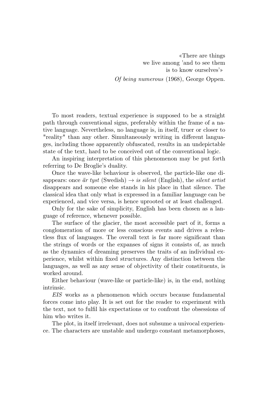«There are things we live among 'and to see them is to know ourselves'» *Of being numerous* (1968), George Oppen.

To most readers, textual experience is supposed to be a straight path through conventional signs, preferably within the frame of a native language. Nevertheless, no language is, in itself, truer or closer to "reality" than any other. Simultaneously writing in different languages, including those apparently obfuscated, results in an undepictable state of the text, hard to be conceived out of the conventional logic.

An inspiring interpretation of this phenomenon may be put forth referring to De Broglie's duality.

Once the wave-like behaviour is observed, the particle-like one disappears: once  $\ddot{a}r$  tyst (Swedish)  $\rightarrow$  *is silent* (English), the *silent artist* disappears and someone else stands in his place in that silence. The classical idea that only what is expressed in a familiar language can be experienced, and vice versa, is hence uprooted or at least challenged.

Only for the sake of simplicity, English has been chosen as a language of reference, whenever possible.

The surface of the glacier, the most accessible part of it, forms a conglomeration of more or less conscious events and drives a relentless flux of languages. The overall text is far more significant than the strings of words or the expanses of signs it consists of, as much as the dynamics of dreaming preserves the traits of an individual experience, whilst within fixed structures. Any distinction between the languages, as well as any sense of objectivity of their constituents, is worked around.

Either behaviour (wave-like or particle-like) is, in the end, nothing intrinsic.

*EIS* works as a phenomenon which occurs because fundamental forces come into play. It is set out for the reader to experiment with the text, not to fulfil his expectations or to confront the obsessions of him who writes it.

The plot, in itself irrelevant, does not subsume a univocal experience. The characters are unstable and undergo constant metamorphoses,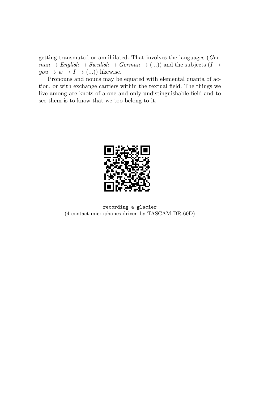getting transmuted or annihilated. That involves the languages (*Ger* $man \rightarrow English \rightarrow Swedish \rightarrow German \rightarrow (...)$  and the subjects (*I*  $\rightarrow$  $you \rightarrow w \rightarrow I \rightarrow (...)$  likewise.

Pronouns and nouns may be equated with elemental quanta of action, or with exchange carriers within the textual field. The things we live among are knots of a one and only undistinguishable field and to see them is to know that we too belong to it.



recording a glacier (4 contact microphones driven by TASCAM DR-60D)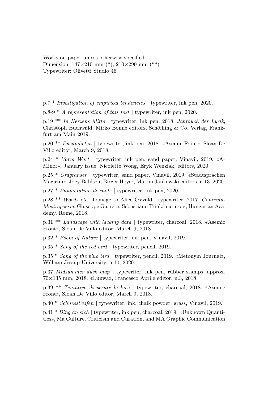Works on paper unless otherwise specified. Dimension:  $147\times210$  mm (\*);  $210\times290$  mm (\*\*) Typewriter: Olivetti Studio 46.

p.7 \* *Investigation of empirical tendencies* | typewriter, ink pen, 2020.

p.8-9 \* *A representation of this text* | typewriter, ink pen, 2020.

p.19 \*\* *In Herzens Mitte* | typewriter, ink pen, 2018. *Jahrbuch der Lyrik*, Christoph Buchwald, Mirko Bonné editors, Schöffling & Co. Verlag, Frankfurt am Main 2019.

p.20 \*\* *Ensamheten* | typewriter, ink pen, 2018. «Asemic Front», Sloan De Villo editor, March 9, 2018.

p.24 \* *Vorm Wort* | typewriter, ink pen, sand paper, Vinavil, 2019. «A-Minor», January issue, Nicolette Wong, Eryk Wenziak, editors, 2020.

p.25 \* *Ordgranser* | typewriter, sand paper, Vinavil, 2019. «Stadtsprachen Magazin», Joey Bahlsen, Birger Hoyer, Martin Jankowski editors, n.13, 2020.

p.27 \* *Énumeration de mots* | typewriter, ink pen, 2020.

p.28 \*\* *Woods etc.*, homage to Alice Oswald | typewriter, 2017. *Concreta-Mostrapoesia*, Giuseppe Garrera, Sebastiano Triulzi curators, Hungarian Academy, Rome, 2018.

p.31 \*\* *Landscape with lacking data* | typewriter, charcoal, 2018. «Asemic Front», Sloan De Villo editor, March 9, 2018.

p.32 \* *Poem of Nature* | typewriter, ink pen, Vinavil, 2019.

p.35 \* *Song of the red bird* | typewriter, pencil, 2019.

p.35 \* *Song of the blue bird* | typewriter, pencil, 2019. «Metonym Journal», William Jessup University, n.10, 2020.

p.37 *Midsummer dusk map* | typewriter, ink pen, rubber stamps, approx.  $70\times135$  mm, 2018. «Luuwa», Francesco Aprile editor, n.3, 2018.

p.39 \*\* *Tentativo di pesare la luce* | typewriter, charcoal, 2018. «Asemic Front», Sloan De Villo editor, March 9, 2018.

p.40 \* *Schneestreifen* | typewriter, ink, chalk powder, grass, Vinavil, 2019.

p.41 \* *Ding an sich* | typewriter, ink pen, charcoal, 2019. «Unknown Quantities», Ma Culture, Criticism and Curation, and MA Graphic Communication